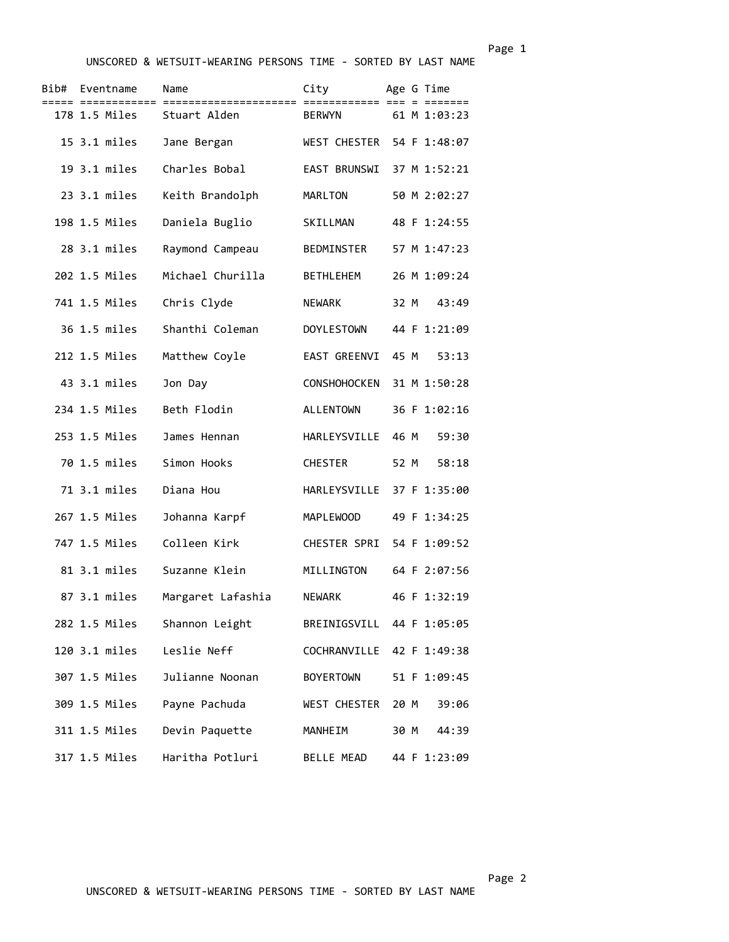UNSCORED & WETSUIT-WEARING PERSONS TIME - SORTED BY LAST NAME

| Bib# | Eventname     | Name                      | City                      | Age G Time |              |
|------|---------------|---------------------------|---------------------------|------------|--------------|
|      | 178 1.5 Miles | Stuart Alden              | <b>BERWYN</b>             |            | 61 M 1:03:23 |
|      | 15 3.1 miles  | Jane Bergan               | WEST CHESTER 54 F 1:48:07 |            |              |
|      | 19 3.1 miles  | Charles Bobal             | EAST BRUNSWI              |            | 37 M 1:52:21 |
|      | 23 3.1 miles  | Keith Brandolph           | MARLTON                   |            | 50 M 2:02:27 |
|      | 198 1.5 Miles | Daniela Buglio            | SKILLMAN                  |            | 48 F 1:24:55 |
|      | 28 3.1 miles  | Raymond Campeau           | BEDMINSTER                |            | 57 M 1:47:23 |
|      | 202 1.5 Miles | Michael Churilla          | <b>BETHLEHEM</b>          |            | 26 M 1:09:24 |
|      | 741 1.5 Miles | Chris Clyde               | <b>NEWARK</b>             | 32 M       | 43:49        |
|      | 36 1.5 miles  | Shanthi Coleman           | <b>DOYLESTOWN</b>         |            | 44 F 1:21:09 |
|      | 212 1.5 Miles | Matthew Coyle             | EAST GREENVI              | 45 M       | 53:13        |
|      | 43 3.1 miles  | Jon Day                   | <b>CONSHOHOCKEN</b>       |            | 31 M 1:50:28 |
|      | 234 1.5 Miles | Beth Flodin               | <b>ALLENTOWN</b>          |            | 36 F 1:02:16 |
|      | 253 1.5 Miles | James Hennan              | HARLEYSVILLE              | 46 M       | 59:30        |
|      | 70 1.5 miles  | Simon Hooks               | <b>CHESTER</b>            | 52 M       | 58:18        |
|      | 71 3.1 miles  | Diana Hou                 | HARLEYSVILLE              |            | 37 F 1:35:00 |
|      | 267 1.5 Miles | Johanna Karpf             | MAPLEWOOD                 |            | 49 F 1:34:25 |
|      | 747 1.5 Miles | Colleen Kirk              | CHESTER SPRI              |            | 54 F 1:09:52 |
|      | 81 3.1 miles  | Suzanne Klein             | MILLINGTON                |            | 64 F 2:07:56 |
|      | 87 3.1 miles  | Margaret Lafashia         | NEWARK                    |            | 46 F 1:32:19 |
|      | 282 1.5 Miles | Shannon Leight            | BREINIGSVILL 44 F 1:05:05 |            |              |
|      |               | 120 3.1 miles Leslie Neff | COCHRANVILLE 42 F 1:49:38 |            |              |
|      | 307 1.5 Miles | Julianne Noonan           | <b>BOYERTOWN</b>          |            | 51 F 1:09:45 |
|      | 309 1.5 Miles | Payne Pachuda             | WEST CHESTER 20 M         |            | 39:06        |
|      | 311 1.5 Miles | Devin Paquette            | <b>MANHEIM</b>            | 30 M       | 44:39        |
|      | 317 1.5 Miles | Haritha Potluri           | BELLE MEAD                |            | 44 F 1:23:09 |